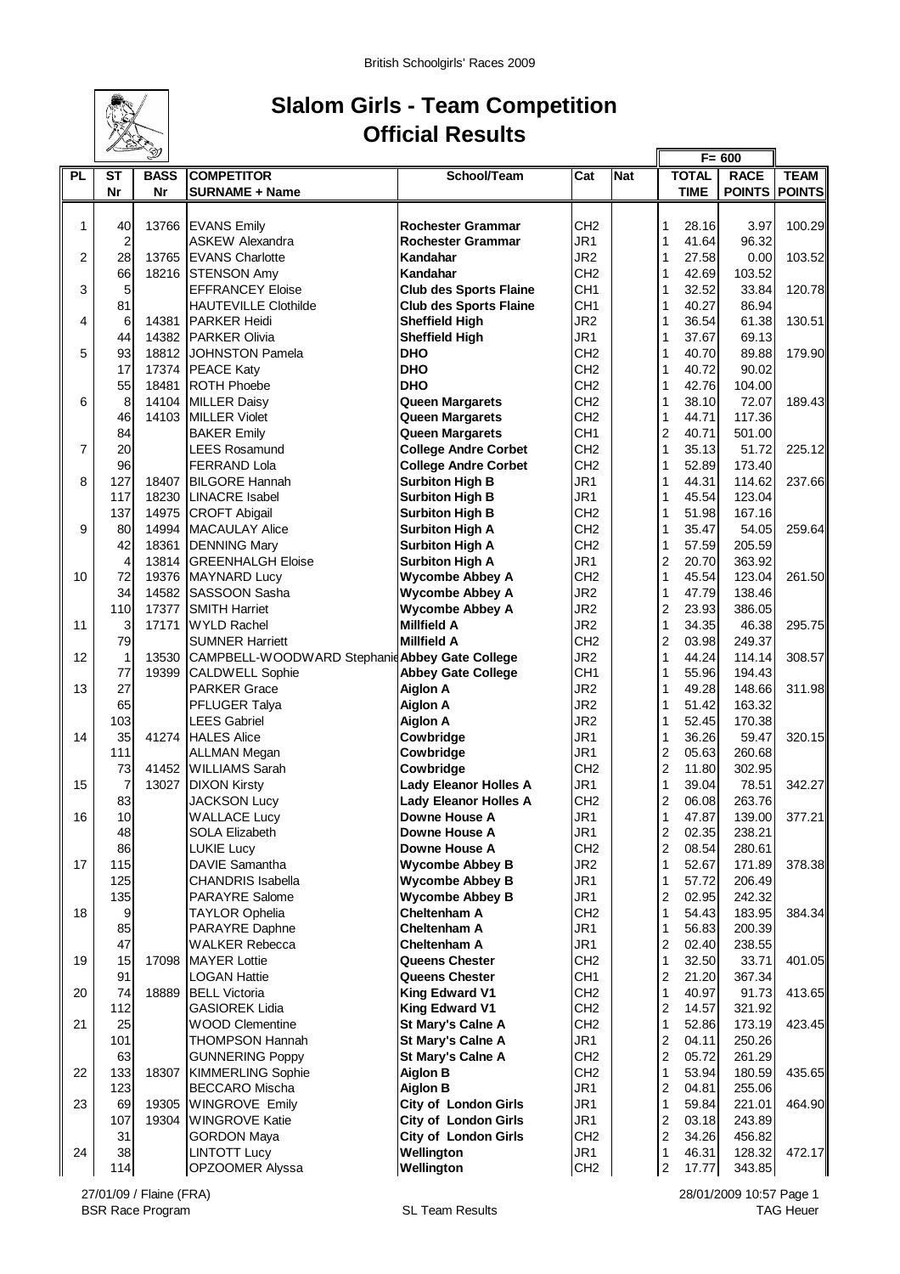

## **Slalom Girls - Team Competition Official Results**

 $\mathbf{r}$ 

|                |                | D           | $F = 600$                                      |                               |                 |            |                         |              |               |               |
|----------------|----------------|-------------|------------------------------------------------|-------------------------------|-----------------|------------|-------------------------|--------------|---------------|---------------|
| <b>PL</b>      | ST             | <b>BASS</b> | <b>COMPETITOR</b>                              | School/Team                   | Cat             | <b>Nat</b> |                         | <b>TOTAL</b> | <b>RACE</b>   | <b>TEAM</b>   |
|                | Nr             | Nr          | <b>SURNAME + Name</b>                          |                               |                 |            |                         | <b>TIME</b>  | <b>POINTS</b> | <b>POINTS</b> |
|                |                |             |                                                |                               |                 |            |                         |              |               |               |
| $\mathbf{1}$   | 40             |             | 13766 EVANS Emily                              | <b>Rochester Grammar</b>      | CH <sub>2</sub> |            | 1                       | 28.16        | 3.97          | 100.29        |
|                | $\overline{2}$ |             | <b>ASKEW Alexandra</b>                         | <b>Rochester Grammar</b>      | JR1             |            | 1                       | 41.64        | 96.32         |               |
| 2              | 28             | 13765       | <b>EVANS Charlotte</b>                         | Kandahar                      | JR <sub>2</sub> |            | 1                       | 27.58        | 0.00          | 103.52        |
|                | 66             | 18216       | <b>STENSON Amy</b>                             | Kandahar                      | CH <sub>2</sub> |            | 1                       | 42.69        | 103.52        |               |
| 3              | 5              |             | <b>EFFRANCEY Eloise</b>                        | <b>Club des Sports Flaine</b> | CH <sub>1</sub> |            | 1                       | 32.52        | 33.84         | 120.78        |
|                | 81             |             | <b>HAUTEVILLE Clothilde</b>                    | <b>Club des Sports Flaine</b> | CH <sub>1</sub> |            | 1                       | 40.27        | 86.94         |               |
| 4              | 6              | 14381       | <b>PARKER Heidi</b>                            | <b>Sheffield High</b>         | JR <sub>2</sub> |            | 1                       | 36.54        | 61.38         | 130.51        |
|                | 44             | 14382       | <b>PARKER Olivia</b>                           | <b>Sheffield High</b>         | JR1             |            | 1                       | 37.67        | 69.13         |               |
| 5              | 93             |             | 18812 JOHNSTON Pamela                          | <b>DHO</b>                    | CH <sub>2</sub> |            | 1                       | 40.70        | 89.88         | 179.90        |
|                | 17             |             | 17374 PEACE Katy                               | <b>DHO</b>                    | CH <sub>2</sub> |            | 1                       | 40.72        | 90.02         |               |
|                | 55             | 18481       | <b>ROTH Phoebe</b>                             | <b>DHO</b>                    | CH <sub>2</sub> |            | 1                       | 42.76        | 104.00        |               |
| 6              | 8              | 14104       | <b>MILLER Daisy</b>                            | Queen Margarets               | CH <sub>2</sub> |            | 1                       | 38.10        | 72.07         | 189.43        |
|                | 46             | 14103       | <b>MILLER Violet</b>                           | Queen Margarets               | CH <sub>2</sub> |            | 1                       | 44.71        | 117.36        |               |
|                | 84             |             | <b>BAKER Emily</b>                             | Queen Margarets               | CH <sub>1</sub> |            | $\overline{c}$          | 40.71        | 501.00        |               |
| $\overline{7}$ | 20             |             | LEES Rosamund                                  | <b>College Andre Corbet</b>   | CH <sub>2</sub> |            | 1                       | 35.13        | 51.72         | 225.12        |
|                | 96             |             | <b>FERRAND Lola</b>                            | <b>College Andre Corbet</b>   | CH <sub>2</sub> |            | 1                       | 52.89        | 173.40        |               |
| 8              | 127            | 18407       | <b>BILGORE Hannah</b>                          | <b>Surbiton High B</b>        | JR <sub>1</sub> |            | 1                       | 44.31        | 114.62        | 237.66        |
|                | 117            |             | 18230 LINACRE Isabel                           | <b>Surbiton High B</b>        | JR1             |            | 1                       | 45.54        | 123.04        |               |
|                | 137            | 14975       | <b>CROFT Abigail</b>                           | <b>Surbiton High B</b>        | CH <sub>2</sub> |            | 1                       | 51.98        | 167.16        |               |
| 9              | 80             | 14994       | <b>MACAULAY Alice</b>                          | <b>Surbiton High A</b>        | CH <sub>2</sub> |            | 1                       | 35.47        | 54.05         | 259.64        |
|                | 42             | 18361       | <b>DENNING Mary</b>                            | <b>Surbiton High A</b>        | CH <sub>2</sub> |            | 1                       | 57.59        | 205.59        |               |
|                | $\overline{4}$ | 13814       | <b>GREENHALGH Eloise</b>                       | <b>Surbiton High A</b>        | JR1             |            | $\overline{\mathbf{c}}$ | 20.70        | 363.92        |               |
| 10             | 72             | 19376       | <b>MAYNARD Lucy</b>                            | <b>Wycombe Abbey A</b>        | CH <sub>2</sub> |            | $\mathbf{1}$            | 45.54        | 123.04        | 261.50        |
|                | 34             | 14582       | SASSOON Sasha                                  | <b>Wycombe Abbey A</b>        | JR <sub>2</sub> |            | 1                       | 47.79        | 138.46        |               |
|                | 110            | 17377       | <b>SMITH Harriet</b>                           | <b>Wycombe Abbey A</b>        | JR <sub>2</sub> |            | $\overline{2}$          | 23.93        | 386.05        |               |
| 11             | 3              | 17171       | <b>WYLD Rachel</b>                             | <b>Millfield A</b>            | JR <sub>2</sub> |            | 1                       | 34.35        | 46.38         | 295.75        |
|                | 79             |             | <b>SUMNER Harriett</b>                         | <b>Millfield A</b>            | CH <sub>2</sub> |            | 2                       | 03.98        | 249.37        |               |
| 12             | $\mathbf{1}$   | 13530       | CAMPBELL-WOODWARD Stephanic Abbey Gate College |                               | JR <sub>2</sub> |            | 1                       | 44.24        | 114.14        | 308.57        |
|                | 77             | 19399       | <b>CALDWELL Sophie</b>                         | <b>Abbey Gate College</b>     | CH <sub>1</sub> |            | 1                       | 55.96        | 194.43        |               |
| 13             | 27             |             | <b>PARKER Grace</b>                            | <b>Aiglon A</b>               | JR <sub>2</sub> |            | 1                       | 49.28        | 148.66        | 311.98        |
|                | 65             |             | PFLUGER Talya                                  | <b>Aiglon A</b>               | JR <sub>2</sub> |            | 1                       | 51.42        | 163.32        |               |
|                | 103            |             | <b>LEES Gabriel</b>                            | <b>Aiglon A</b>               | JR <sub>2</sub> |            | 1                       | 52.45        | 170.38        |               |
| 14             | 35             | 41274       | <b>HALES Alice</b>                             | Cowbridge                     | JR <sub>1</sub> |            | 1                       | 36.26        | 59.47         | 320.15        |
|                | 111            |             | <b>ALLMAN Megan</b>                            | Cowbridge                     | JR <sub>1</sub> |            | $\overline{\mathbf{c}}$ | 05.63        | 260.68        |               |
|                | 73             | 41452       | <b>WILLIAMS Sarah</b>                          | Cowbridge                     | CH <sub>2</sub> |            | $\overline{c}$          | 11.80        | 302.95        |               |
| 15             | $\overline{7}$ | 13027       | <b>DIXON Kirsty</b>                            | <b>Lady Eleanor Holles A</b>  | JR <sub>1</sub> |            | $\mathbf{1}$            | 39.04        | 78.51         | 342.27        |
|                | 83             |             | <b>JACKSON Lucy</b>                            | <b>Lady Eleanor Holles A</b>  | CH <sub>2</sub> |            | $\overline{2}$          | 06.08        | 263.76        |               |
| 16             | 10             |             | <b>WALLACE Lucy</b>                            | Downe House A                 | JR <sub>1</sub> |            | 1                       | 47.87        | 139.00        | 377.21        |
|                | 48             |             | <b>SOLA Elizabeth</b>                          | Downe House A                 | JR1             |            | $\overline{c}$          | 02.35        | 238.21        |               |
|                | 86             |             | <b>LUKIE Lucy</b>                              | Downe House A                 | CH <sub>2</sub> |            | $\overline{2}$          | 08.54        | 280.61        |               |
| 17             | 115            |             | DAVIE Samantha                                 | <b>Wycombe Abbey B</b>        | JR <sub>2</sub> |            | 1                       | 52.67        | 171.89        | 378.38        |
|                | 125            |             | <b>CHANDRIS Isabella</b>                       | <b>Wycombe Abbey B</b>        | JR1             |            | 1                       | 57.72        | 206.49        |               |
|                | 135            |             | <b>PARAYRE Salome</b>                          | <b>Wycombe Abbey B</b>        | JR1             |            | 2                       | 02.95        | 242.32        |               |
| 18             | 9              |             | <b>TAYLOR Ophelia</b>                          | <b>Cheltenham A</b>           | CH <sub>2</sub> |            | 1                       | 54.43        | 183.95        | 384.34        |
|                | 85             |             | PARAYRE Daphne                                 | <b>Cheltenham A</b>           | JR1             |            | 1                       | 56.83        | 200.39        |               |
|                | 47             |             | <b>WALKER Rebecca</b>                          | <b>Cheltenham A</b>           | JR1             |            | 2                       | 02.40        | 238.55        |               |
| 19             | 15             | 17098       | <b>MAYER Lottie</b>                            | Queens Chester                | CH <sub>2</sub> |            | 1                       | 32.50        | 33.71         | 401.05        |
|                | 91             |             | <b>LOGAN Hattie</b>                            | Queens Chester                | CH <sub>1</sub> |            | 2                       | 21.20        | 367.34        |               |
| 20             | 74             | 18889       | <b>BELL Victoria</b>                           | King Edward V1                | CH <sub>2</sub> |            | 1                       | 40.97        | 91.73         | 413.65        |
|                | 112            |             | <b>GASIOREK Lidia</b>                          | King Edward V1                | CH <sub>2</sub> |            | 2                       | 14.57        | 321.92        |               |
| 21             | 25             |             | <b>WOOD Clementine</b>                         | St Mary's Calne A             | CH <sub>2</sub> |            | 1                       | 52.86        | 173.19        | 423.45        |
|                | 101            |             | <b>THOMPSON Hannah</b>                         | St Mary's Calne A             | JR1             |            | 2                       | 04.11        | 250.26        |               |
|                | 63             |             | <b>GUNNERING Poppy</b>                         | St Mary's Calne A             | CH <sub>2</sub> |            | $\overline{c}$          | 05.72        | 261.29        |               |
| 22             | 133            | 18307       | <b>KIMMERLING Sophie</b>                       | <b>Aiglon B</b>               | CH <sub>2</sub> |            | $\mathbf{1}$            | 53.94        | 180.59        | 435.65        |
|                | 123            |             | <b>BECCARO Mischa</b>                          | <b>Aiglon B</b>               | JR1             |            | 2                       | 04.81        | 255.06        |               |
| 23             | 69             | 19305       | <b>WINGROVE Emily</b>                          | <b>City of London Girls</b>   | JR1             |            | $\mathbf{1}$            | 59.84        | 221.01        | 464.90        |
|                | 107            | 19304       | <b>WINGROVE Katie</b>                          | <b>City of London Girls</b>   | JR1             |            | 2                       | 03.18        | 243.89        |               |
|                | 31             |             | <b>GORDON Maya</b>                             | <b>City of London Girls</b>   | CH <sub>2</sub> |            | $\overline{\mathbf{c}}$ | 34.26        | 456.82        |               |
| 24             | 38             |             | <b>LINTOTT Lucy</b>                            | Wellington                    | JR <sub>1</sub> |            | 1                       | 46.31        | 128.32        | 472.17        |
|                | 114            |             | OPZOOMER Alyssa                                | Wellington                    | CH <sub>2</sub> |            | $\overline{c}$          | 17.77        | 343.85        |               |